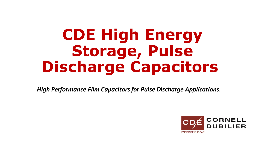# **CDE High Energy**  Storage, Pulse **Discharge Capacitors**

*High Performance Film Capacitors for Pulse Discharge Applications.*

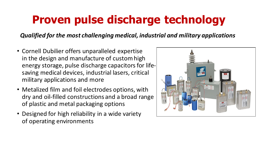## **Proven pulse discharge technology**

*Qualified for the most challenging medical, industrial and military applications*

- Cornell Dubilier offers unparalleled expertise in the design and manufacture of custom high energy storage, pulse discharge capacitors for lifesaving medical devices, industrial lasers, critical military applications and more
- Metalized film and foil electrodes options, with dry and oil-filled constructions and a broad range of plastic and metal packaging options
- Designed for high reliability in a wide variety of operating environments

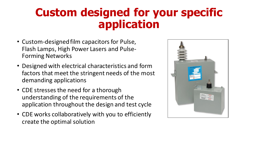### **Custom designed for your specific application**

- Custom-designed film capacitors for Pulse, Flash Lamps, High Power Lasers and Pulse-Forming Networks
- Designed with electrical characteristics and form factors that meet the stringent needs of the most demanding applications
- CDE stresses the need for a thorough understanding of the requirements of the application throughout the design and test cycle
- CDE works collaboratively with you to efficiently create the optimal solution

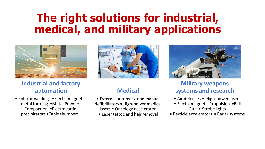#### **The right solutions for industrial, medical, and military applications**



#### **Industrial and factory automation**

• Robotic welding • Electromagnetic metal forming •Metal Powder Compaction •Electrostatic precipitators •Cable thumpers



#### **Medical**

- External automatic and manual defibrillators • High-power medical lasers • Oncology accelerator
	- Laser tattoo and hair removal



#### **Military weapons systems and research**

- Air defenses High-power lasers
- Electromagnetic Propulsion •Rail Gun • Strobe lights
- Particle accelerators Radar systems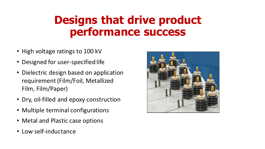### **Designs that drive product performance success**

- High voltage ratings to 100 kV
- Designed for user-specified life
- Dielectric design based on application requirement (Film/Foil, Metallized Film, Film/Paper)
- Dry, oil-filled and epoxy construction
- Multiple terminal configurations
- Metal and Plastic case options
- Low self-inductance

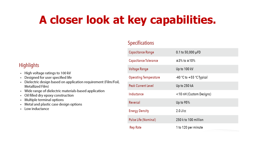## **A closer look at key capabilities.**

#### **Specifications**

#### **Highlights**

- High voltage ratings to 100 kV
- Designed for user specified life
- Dielectric design based on application requirement (Film/Foil, Metallized Film)
- Wide range of dielectric materials-based application
- Oil filled dry epoxy construction
- Multiple terminal options
- Metal and plastic case design options
- Low inductance

| Capacitance Range            | $0.1$ to 50,000 µFD          |
|------------------------------|------------------------------|
| Capacitance Tolerance        | $±3\%$ to $±10\%$            |
| Voltage Range                | Up to 100 kV                 |
| <b>Operating Temperature</b> | $-40$ °C to $+55$ °C Typical |
| <b>Peak Current Level</b>    | Up to 250 kA                 |
| Inductance                   | <10 nH (Custom Designs)      |
| Reversal                     | Up to $95%$                  |
| <b>Energy Density</b>        | $2.0$ J/cc                   |
| <b>Pulse Life (Nominal)</b>  | 250 k to 100 million         |
| Rep Rate                     | 1 to 120 per minute          |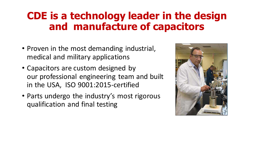#### **CDE is a technology leader in the design and manufacture of capacitors**

- Proven in the most demanding industrial, medical and military applications
- Capacitors are custom designed by our professional engineering team and built in the USA, ISO 9001:2015-certified
- Parts undergo the industry's most rigorous qualification and final testing